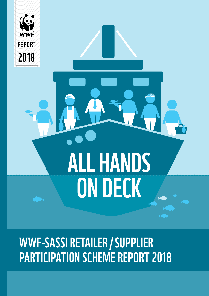

## WWF-SASSI RETAILER / SUPPLIER PARTICIPATION SCHEME REPORT 2018

ALL HANDS

ON DECK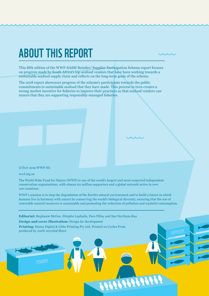## ABOUT THIS REPORT

This fifth edition of the WWF-SASSI Retailer/ Supplier Participation Scheme report focuses on progress made by South Africa's top seafood vendors that have been working towards a sustainable seafood supply chain and reflects on the long-term goals of the scheme.

The 2018 report showcases progress of the scheme's participants towards the public commitments to sustainable seafood that they have made. This process in turn creates a strong market incentive for fisheries to improve their practices so that seafood vendors can ensure that they are supporting responsibly-managed fisheries.

#### ©Text 2019 WWF-SA

wwf.org.za

The World Wide Fund for Nature (WWF) is one of the world's largest and most respected independent conservation organisations, with almost six million supporters and a global network active in over 100 countries.

WWF's mission is to stop the degradation of the Earth's natural environment and to build a future in which humans live in harmony with nature by conserving the world's biological diversity, ensuring that the use of renewable natural resources is sustainable and promoting the reduction of pollution and wasteful consumption.

WWWWW

**Editorial:** Stephanie McGee, Dimpho Lephaila, Pavs Pillay and Sue Northam-Ras

**Design and cover illustration:** Design for development

**Printing:** Hansa Digital & Litho Printing Pty Ltd. Printed on Cyclus Print, produced by 100% recycled fibres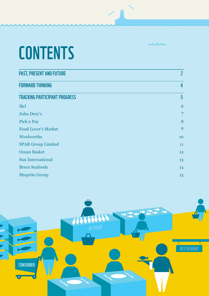## **CONTENTS**

| <b>PAST, PRESENT AND FUTURE</b><br><b>FORWARD THINKING</b> | $\overline{c}$ |
|------------------------------------------------------------|----------------|
|                                                            | 4              |
| <b>TRACKING PARTICIPANT PROGRESS</b>                       | 5              |
| I&J                                                        | 6              |
| John Dory's                                                | $\overline{7}$ |
| Pick n Pay                                                 | 8              |
| <b>Food Lover's Market</b>                                 | 9              |
| Woolworths                                                 | 10             |
| <b>SPAR Group Limited</b>                                  | 11             |
| <b>Ocean Basket</b>                                        | 12             |
| <b>Sun International</b>                                   | 13             |
| <b>Breco Seafoods</b>                                      | 14             |
| <b>Shoprite Group</b>                                      | 15             |

WWF-SASSI RETAILER / SUPPLIER PARTICIPATION SCHEME REPORT 2018

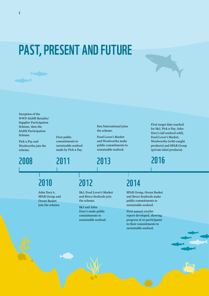## PAST, PRESENT AND FUTURE



Inception of the WWF-SASSI Retailer/ Supplier Participation Scheme, then the SASSI Participation Scheme.

Pick n Pay and Woolworths join the scheme.

First public commitments to sustainable seafood made by Pick n Pay.

2008 2011

John Dory's, SPAR Group and Ocean Basket join the scheme.

## 2010 2012 2014

I&J, Food Lover's Market and Breco Seafoods join the scheme.

I&J and John Dory's make public commitments to sustainable seafood.

Sun International joins the scheme.

Food Lover's Market and Woolworths make public commitments to sustainable seafood.

2013

SPAR Group, Ocean Basket and Breco Seafoods make public commitments to sustainable seafood.

First annual retailer report developed, showing progress of 10 participants to their commitments to sustainable seafood.

First target date reached for I&J, Pick n Pay, John Dory's (all seafood sold), Food Lover's Market, Woolworths (wild-caught products) and SPAR Group (private label products).

2016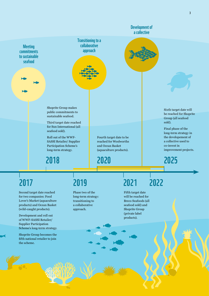

3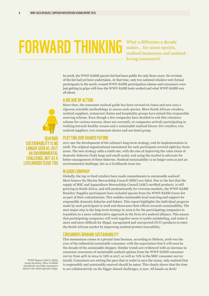## FORWARD THINKING What a difference a decade

makes… for ocean species, seafood businesses and seafoodloving consumers!

In 2008, the WWF-SASSI species list had been public for only three years. No revision of the list had yet been undertaken. At that time, only two national retailers were formal participants in the newly created WWF-SASSI participation scheme and consumers were just getting to grips with how the WWF-SASSI tools worked and what WWF-SASSI was all about.

### A DECADE OF ACTION

Since then, the consumer seafood guide has been revised six times and now uses a rigorous scientific methodology to assess each species. More South African retailers, seafood suppliers, restaurant chains and hospitality groups have joined this responsible sourcing scheme. Even though a few companies have decided to exit this voluntary scheme for various reasons, there are currently 10 companies actively participating in working towards healthy oceans and a sustainable seafood future: five retailers, two seafood suppliers, two restaurant chains and one hotel group.

### PLOTTING OUR SHARED FUTURE

2017 saw the development of the scheme's long-term strategy, and its implementation in 2018. The original organisational assessment for each participant covered eight key focus areas. The new strategy adds a ninth one, with the aim of improving the value chain of domestic fisheries (both large and small-scale), and using the market to advocate for better management of these fisheries. Seafood sustainability is no longer seen as just an environmental challenge, but as a livelihoods issue too.

#### IN GOOD COMPANY

Globally, the top 10 food retailers have made commitments to sustainable seafood<sup>1</sup>. Most feature the Marine Stewardship Council (MSC) eco-label. Due to the fact that the supply of MSC and Aquaculture Stewardship Council (ASC) certified products is still growing in South Africa, and still predominantly for overseas markets, the WWF-SASSI Retailer/ Supplier participants have included species from the WWF-SASSI Green list as part of their commitments. This enables sustainable local sourcing and support for responsible domestic fisheries and fishers. This report highlights the individual progress made by each participant in 2018 and showcases their efforts towards sustainability. The next major step in the long-term strategy in 2019 is for the participating companies to transition to a more collaborative approach in the form of a seafood alliance. This means that participating companies will work together more to tackle mislabeling, and make it more and more difficult for illegal, unregulated and unreported (IUU) products to enter the South African market by improving seafood product traceability.

### CONSUMERS DEMAND SUSTAINABILITY

This momentum comes at a pivotal time because, according to Nielson, 2018 was the year of the influential sustainable consumer, with the expectation that it will soon be the decade of the sustainable shopper. Similar trends are evidenced with an increase in consumer awareness of sustainable seafood options from the WWF-SASSI consumer survey from 40% in 2014 to 79% in 2017, as well as 72% in the MSC consumer survey (2018). Consumers are setting the pace that in order to save the ocean, only seafood that is responsibly and sustainably sourced should be eaten. This clearly shows that the time to act collaboratively on the bigger shared challenges, is now. All hands on deck!

 *1 WWF Report (2017), SDGs mean business: How credible standards can help companies deliver the 2030 agenda, 63pp.*

SEAFOOD SUSTAINABILITY IS NO LONGER SEEN AS JUST AN ENVIRONMENTAL CHALLENGE, BUT AS A LIVELIHOODS ISSUE TOO

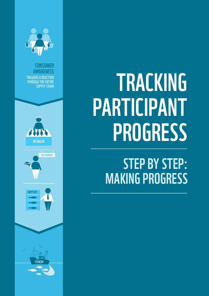# **TRACKING** PARTICIPANT PROGRESS

## STEP BY STEP: MAKING PROGRESS

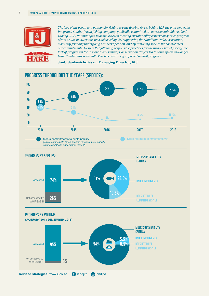

*The love of the ocean and passion for fishing are the driving forces behind I&J, the only vertically integrated South African fishing company, publically committed to source sustainable seafood. During 2018, I&J managed to achieve 61% in meeting sustainability criteria on species progress (from 48.5% in 2017); this was achieved by I&J supporting the Namibian Hake Association, currently formally undergoing MSC certification, and by removing species that do not meet our commitments. Despite I&J following responsible practices for the inshore trawl fishery, the lack of progress in the inshore trawl Fishery Conservation Project led to some species no longer being "under improvement". This has negatively impacted overall progress.*



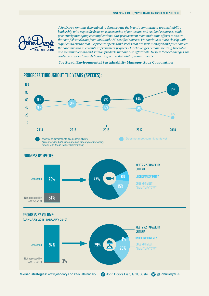

*John Dory's remains determined to demonstrate the brand's commitment to sustainability leadership with a specific focus on conservation of our oceans and seafood resources, while proactively managing cost implications. Our procurement team maintains efforts to ensure that our fish stocks are from MSC and ASC certified sources. We continue to work closely with suppliers to ensure that we procure species and stocks that are well-managed and from sources that are involved in credible improvement projects. Our challenges remain securing traceable and sustainable tuna and salmon products that are also affordable. Despite these challenges, we continue to work towards honouring our sustainability commitments.*



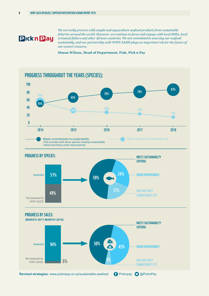## **Pickn Pay**

8

*We currently procure wild caught and aquaculture seafood products from sustainable fisheries around the world. However, we continue to focus and engage with local SMEs, local artisanal fishers and other African countries. We are committed to sourcing our seafood sustainably, and our partnership with WWF-SASSI plays an important role for the future of our ocean's resource.*

**Simon Wilson, Head of Department, Fish, Pick n Pay**

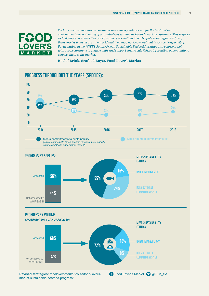

*We have seen an increase in consumer awareness, and concern for the health of our environment through many of our initiatives within our Earth Lover's Programme. This inspires us to do more! It means that our consumers are willing to participate in our efforts to bring them species from all over the world that they may not know, but that is sourced responsibly. Participating in the WWF's South African Sustainable Seafood Initiative also connects well with our programme to engage with, and support small-scale fishers by creating opportunity to connect them to the market.*

**Roelof Brink, Seafood Buyer, Food Lover's Market**

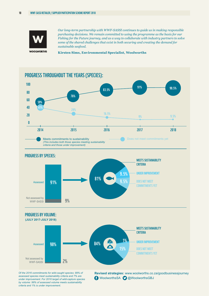

*Our long-term partnership with WWF-SASSI continues to guide us in making responsible purchasing decisions. We remain committed to using the programme as the basis for our Fishing for the Future journey, and as a way to collaborate with industry partners to solve some of the shared challenges that exist in both securing and creating the demand for sustainable seafood.* 

**WOOLWORTHS** 

**Kirsten Sims, Environmental Specialist, Woolworths**



*assessed species meet sustainability criteria and 7% are under improvement. For 2016 target of wild-capture species by volume: 99% of assessed volume meets sustainability criteria and 1% is under improvement.*

WoolworthsSA 2 @WoolworthsGBJ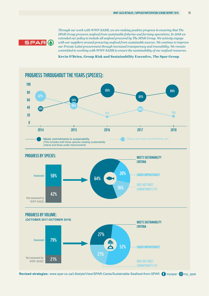**SPARA** 

*Through our work with WWF-SASSI, we are making positive progress in ensuring that The SPAR Group procures seafood from sustainable fisheries and farming operations. In 2018 we extended our policy to include all seafood procured by The SPAR Group. We actively engage with our suppliers around procuring seafood from sustainable sources. We continue to improve our Private Label procurement through increased transparency and traceability. We remain committed to working with WWF-SASSI to ensure the sustainability of our seafood resources.*

**Kevin O'Brien, Group Risk and Sustainability Executive, The Spar Group**

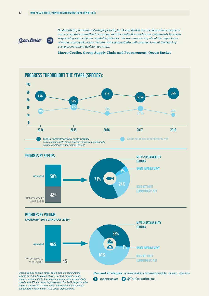

12

*Sustainability remains a strategic priority for Ocean Basket across all product categories and we remain committed to ensuring that the seafood served in our restaurants has been responsibly sourced from reputable fisheries. We are unwavering about the importance of being responsible ocean citizens and sustainability will continue to be at the heart of every procurement decision we make.*

**Marco Coelho, Group Supply Chain and Procurement, Ocean Basket**



### PROGRESS THROUGHOUT THE YEARS (SPECIES):

*targets for 2020 illustrated above. For 2017 target of wildcapture species: 69% of assessed species meet sustainability criteria and 8% are under improvement. For 2017 target of wildcapture species by volume: 42% of assessed volume meets sustainability criteria and 1% is under improvement.*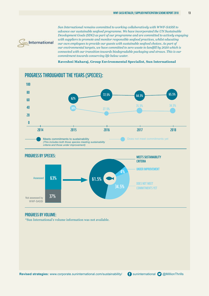

*Sun International remains committed to working collaboratively with WWF-SASSI to advance our sustainable seafood programme. We have incorporated the UN Sustainable Development Goals (SDG) as part of our programme and are committed to actively engaging*  with suppliers to promote and monitor responsible seafood practices, whilst educating *our own employees to provide our guests with sustainable seafood choices. As part of our environmental targets, we have committed to zero waste to landfill by 2020 which is connected with our transition towards biodegradable packaging and straws. This is our commitment towards conserving life below water.*

**Raveshni Maharaj, Group Environmental Specialist, Sun International**



## PROGRESS THROUGHOUT THE YEARS (SPECIES):

### PROGRESS BY VOLUME:

\*Sun International's volume information was not available.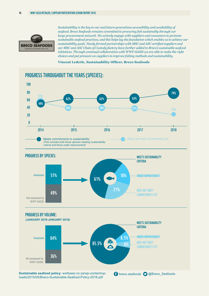

14

*Sustainability is the key to our and future generations accessibility and availability of seafood. Breco Seafoods remains committed to procuring fish sustainably through our large procurement network. We actively engage with suppliers and consumers to promote sustainable seafood practices, and this helps lay the foundation which enables us to achieve our sustainability goals. Newly formed partnerships with MSC and ASC certified suppliers and our MSC and ASC Chain of Custody factory have further added to Breco's sustainable seafood initiatives. Through continual collaboration with WWF-SASSI we are able to make the right choices and put pressure on suppliers to improve fishing methods and sustainability.*



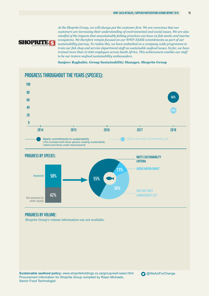

*At the Shoprite Group, we will always put the customer first. We are conscious that our customers are increasing their understanding of environmental and social issues. We are also mindful of the impacts that unsustainable fishing practices can have on fish stocks and marine ecosystems. We therefore remain focused on our WWF-SASSI commitments as part of our sustainability journey. To realise this, we have embarked on a company-wide programme to train our fish shop and service department staff on sustainable seafood issues. So far, we have trained more than 12 000 employees across South Africa. This achievement enables our staff to be our instore seafood sustainability ambassadors.*

**Sanjeev Raghubir, Group Sustainability Manager, Shoprite Group**

### PROGRESS THROUGHOUT THE YEARS (SPECIES):



### PROGRESS BY VOLUME:

Shoprite Group's volume information was not available.

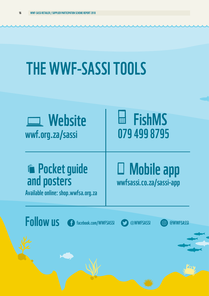



# 079 499 8795

## **E** Pocket guide and posters

Available online: shop.wwfsa.org.za

## Mobile app wwfsassi.co.za/sassi-app

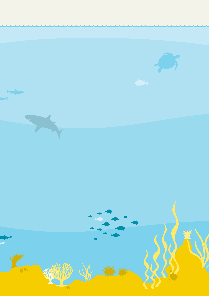